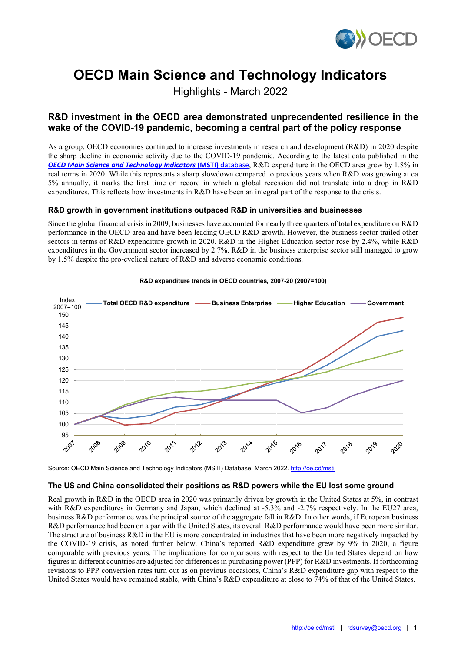

# **OECD Main Science and Technology Indicators**

Highlights - March 2022

# **R&D investment in the OECD area demonstrated unprecendented resilience in the wake of the COVID-19 pandemic, becoming a central part of the policy response**

As a group, OECD economies continued to increase investments in research and development (R&D) in 2020 despite the sharp decline in economic activity due to the COVID-19 pandemic. According to the latest data published in the *[OECD Main Science and Technology Indicators](http://www.oecd.org/science/msti.htm)* **(MSTI)** database, R&D expenditure in the OECD area grew by 1.8% in real terms in 2020. While this represents a sharp slowdown compared to previous years when R&D was growing at ca 5% annually, it marks the first time on record in which a global recession did not translate into a drop in R&D expenditures. This reflects how investments in R&D have been an integral part of the response to the crisis.

## **R&D growth in government institutions outpaced R&D in universities and businesses**

Since the global financial crisis in 2009, businesses have accounted for nearly three quarters of total expenditure on R&D performance in the OECD area and have been leading OECD R&D growth. However, the business sector trailed other sectors in terms of R&D expenditure growth in 2020. R&D in the Higher Education sector rose by 2.4%, while R&D expenditures in the Government sector increased by 2.7%. R&D in the business enterprise sector still managed to grow by 1.5% despite the pro-cyclical nature of R&D and adverse economic conditions.



#### **R&D expenditure trends in OECD countries, 2007-20 (2007=100)**

Source: OECD Main Science and Technology Indicators (MSTI) Database, March 2022[. http://oe.cd/msti](http://oe.cd/msti) 

## **The US and China consolidated their positions as R&D powers while the EU lost some ground**

Real growth in R&D in the OECD area in 2020 was primarily driven by growth in the United States at 5%, in contrast with R&D expenditures in Germany and Japan, which declined at -5.3% and -2.7% respectively. In the EU27 area, business R&D performance was the principal source of the aggregate fall in R&D. In other words, if European business R&D performance had been on a par with the United States, its overall R&D performance would have been more similar. The structure of business R&D in the EU is more concentrated in industries that have been more negatively impacted by the COVID-19 crisis, as noted further below. China's reported R&D expenditure grew by 9% in 2020, a figure comparable with previous years. The implications for comparisons with respect to the United States depend on how figures in different countries are adjusted for differences in purchasing power (PPP) for R&D investments. If forthcoming revisions to PPP conversion rates turn out as on previous occasions, China's R&D expenditure gap with respect to the United States would have remained stable, with China's R&D expenditure at close to 74% of that of the United States.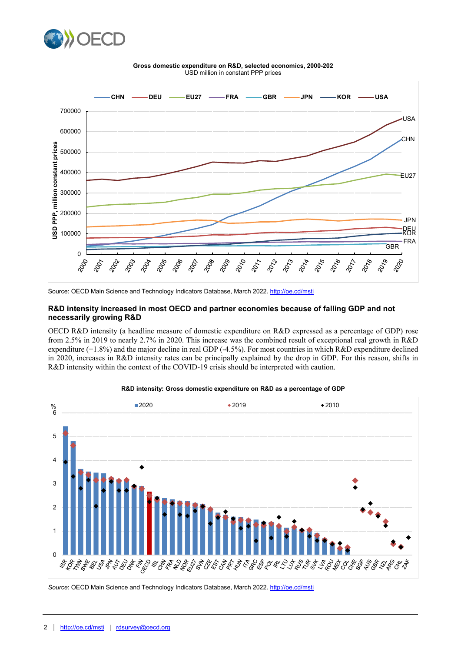



**Gross domestic expenditure on R&D, selected economics, 2000-202**  USD million in constant PPP prices

### **R&D intensity increased in most OECD and partner economies because of falling GDP and not necessarily growing R&D**

OECD R&D intensity (a headline measure of domestic expenditure on R&D expressed as a percentage of GDP) rose from 2.5% in 2019 to nearly 2.7% in 2020. This increase was the combined result of exceptional real growth in R&D expenditure (+1.8%) and the major decline in real GDP (-4.5%). For most countries in which R&D expenditure declined in 2020, increases in R&D intensity rates can be principally explained by the drop in GDP. For this reason, shifts in R&D intensity within the context of the COVID-19 crisis should be interpreted with caution.



**R&D intensity: Gross domestic expenditure on R&D as a percentage of GDP**

Source: OECD Main Science and Technology Indicators Database, March 2022.<http://oe.cd/msti>

Source: OECD Main Science and Technology Indicators Database, March 2022. http://oe.cd/msti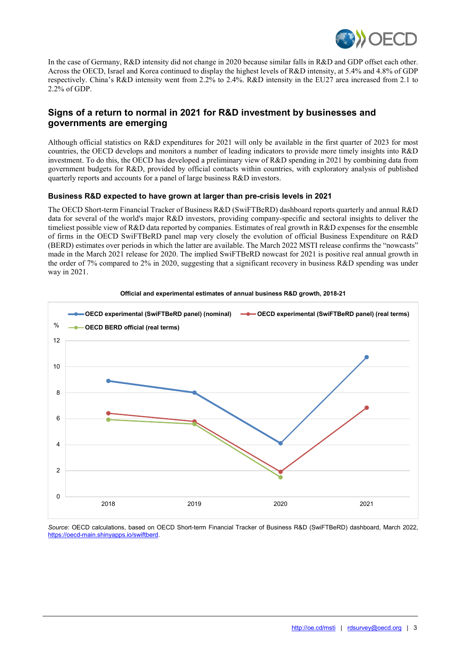

In the case of Germany, R&D intensity did not change in 2020 because similar falls in R&D and GDP offset each other. Across the OECD, Israel and Korea continued to display the highest levels of R&D intensity, at 5.4% and 4.8% of GDP respectively. China's R&D intensity went from 2.2% to 2.4%. R&D intensity in the EU27 area increased from 2.1 to 2.2% of GDP.

# **Signs of a return to normal in 2021 for R&D investment by businesses and governments are emerging**

Although official statistics on R&D expenditures for 2021 will only be available in the first quarter of 2023 for most countries, the OECD develops and monitors a number of leading indicators to provide more timely insights into R&D investment. To do this, the OECD has developed a preliminary view of R&D spending in 2021 by combining data from government budgets for R&D, provided by official contacts within countries, with exploratory analysis of published quarterly reports and accounts for a panel of large business R&D investors.

## **Business R&D expected to have grown at larger than pre-crisis levels in 2021**

The OECD Short-term Financial Tracker of Business R&D (SwiFTBeRD) dashboard reports quarterly and annual R&D data for several of the world's major R&D investors, providing company-specific and sectoral insights to deliver the timeliest possible view of R&D data reported by companies. Estimates of real growth in R&D expenses for the ensemble of firms in the OECD SwiFTBeRD panel map very closely the evolution of official Business Expenditure on R&D (BERD) estimates over periods in which the latter are available. The March 2022 MSTI release confirms the "nowcasts" made in the March 2021 release for 2020. The implied SwiFTBeRD nowcast for 2021 is positive real annual growth in the order of 7% compared to 2% in 2020, suggesting that a significant recovery in business R&D spending was under way in 2021.



#### **Official and experimental estimates of annual business R&D growth, 2018-21**

*Source*: OECD calculations, based on OECD Short-term Financial Tracker of Business R&D (SwiFTBeRD) dashboard, March 2022, [https://oecd-main.shinyapps.io/swiftberd.](https://oecd-main.shinyapps.io/swiftberd/)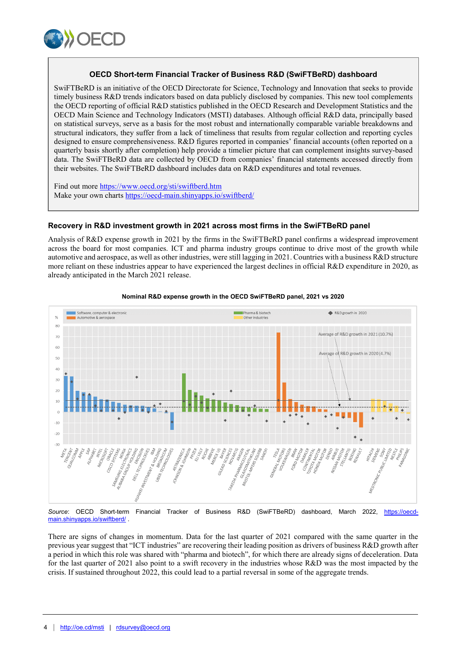

### **OECD Short-term Financial Tracker of Business R&D (SwiFTBeRD) dashboard**

SwiFTBeRD is an initiative of the OECD Directorate for Science, Technology and Innovation that seeks to provide timely business R&D trends indicators based on data publicly disclosed by companies. This new tool complements the OECD reporting of official R&D statistics published in the OECD Research and Development Statistics and the OECD Main Science and Technology Indicators (MSTI) databases. Although official R&D data, principally based on statistical surveys, serve as a basis for the most robust and internationally comparable variable breakdowns and structural indicators, they suffer from a lack of timeliness that results from regular collection and reporting cycles designed to ensure comprehensiveness. R&D figures reported in companies' financial accounts (often reported on a quarterly basis shortly after completion) help provide a timelier picture that can complement insights survey-based data. The SwiFTBeRD data are collected by OECD from companies' financial statements accessed directly from their websites. The SwiFTBeRD dashboard includes data on R&D expenditures and total revenues.

Find out more <https://www.oecd.org/sti/swiftberd.htm> Make your own charts <https://oecd-main.shinyapps.io/swiftberd/>

### **Recovery in R&D investment growth in 2021 across most firms in the SwiFTBeRD panel**

Analysis of R&D expense growth in 2021 by the firms in the SwiFTBeRD panel confirms a widespread improvement across the board for most companies. ICT and pharma industry groups continue to drive most of the growth while automotive and aerospace, as well as other industries, were still lagging in 2021. Countries with a business R&D structure more reliant on these industries appear to have experienced the largest declines in official R&D expenditure in 2020, as already anticipated in the March 2021 release.



#### **Nominal R&D expense growth in the OECD SwiFTBeRD panel, 2021 vs 2020**

*Source*: OECD Short-term Financial Tracker of Business R&D (SwiFTBeRD) dashboard, March 2022, [https://oecd](https://oecd-main.shinyapps.io/swiftberd/)[main.shinyapps.io/swiftberd/ .](https://oecd-main.shinyapps.io/swiftberd/)

There are signs of changes in momentum. Data for the last quarter of 2021 compared with the same quarter in the previous year suggest that "ICT industries" are recovering their leading position as drivers of business R&D growth after a period in which this role was shared with "pharma and biotech", for which there are already signs of deceleration. Data for the last quarter of 2021 also point to a swift recovery in the industries whose R&D was the most impacted by the crisis. If sustained throughout 2022, this could lead to a partial reversal in some of the aggregate trends.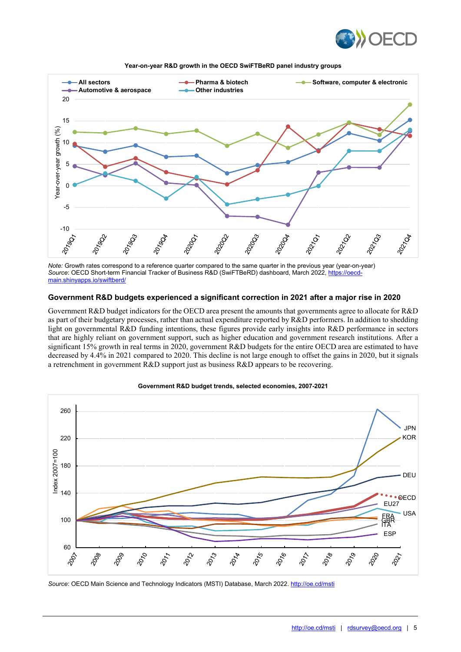



**Year-on-year R&D growth in the OECD SwiFTBeRD panel industry groups**

*Note:* Growth rates correspond to a reference quarter compared to the same quarter in the previous year (year-on-year) *Source*: OECD Short-term Financial Tracker of Business R&D (SwiFTBeRD) dashboard, March 2022, [https://oecd](https://oecd-main.shinyapps.io/swiftberd/)[main.shinyapps.io/swiftberd/](https://oecd-main.shinyapps.io/swiftberd/)

#### **Government R&D budgets experienced a significant correction in 2021 after a major rise in 2020**

Government R&D budget indicators for the OECD area present the amounts that governments agree to allocate for R&D as part of their budgetary processes, rather than actual expenditure reported by R&D performers. In addition to shedding light on governmental R&D funding intentions, these figures provide early insights into R&D performance in sectors that are highly reliant on government support, such as higher education and government research institutions. After a significant 15% growth in real terms in 2020, government R&D budgets for the entire OECD area are estimated to have decreased by 4.4% in 2021 compared to 2020. This decline is not large enough to offset the gains in 2020, but it signals a retrenchment in government R&D support just as business R&D appears to be recovering.



#### **Government R&D budget trends, selected economies, 2007-2021**

*Source*: OECD Main Science and Technology Indicators (MSTI) Database, March 2022[. http://oe.cd/msti](http://oe.cd/msti)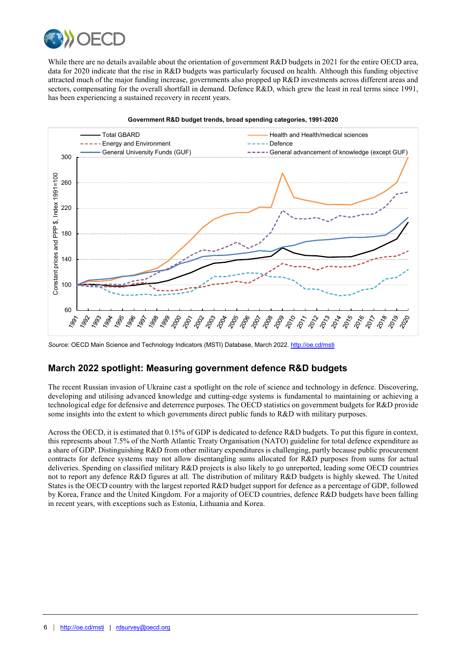

While there are no details available about the orientation of government R&D budgets in 2021 for the entire OECD area, data for 2020 indicate that the rise in R&D budgets was particularly focused on health. Although this funding objective attracted much of the major funding increase, governments also propped up R&D investments across different areas and sectors, compensating for the overall shortfall in demand. Defence R&D, which grew the least in real terms since 1991, has been experiencing a sustained recovery in recent years.



#### **Government R&D budget trends, broad spending categories, 1991-2020**

## **March 2022 spotlight: Measuring government defence R&D budgets**

The recent Russian invasion of Ukraine cast a spotlight on the role of science and technology in defence. Discovering, developing and utilising advanced knowledge and cutting‑edge systems is fundamental to maintaining or achieving a technological edge for defensive and deterrence purposes. The OECD statistics on government budgets for R&D provide some insights into the extent to which governments direct public funds to R&D with military purposes.

Across the OECD, it is estimated that 0.15% of GDP is dedicated to defence R&D budgets. To put this figure in context, this represents about 7.5% of the North Atlantic Treaty Organisation (NATO) guideline for total defence expenditure as a share of GDP. Distinguishing R&D from other military expenditures is challenging, partly because public procurement contracts for defence systems may not allow disentangling sums allocated for R&D purposes from sums for actual deliveries. Spending on classified military R&D projects is also likely to go unreported, leading some OECD countries not to report any defence R&D figures at all. The distribution of military R&D budgets is highly skewed. The United States is the OECD country with the largest reported R&D budget support for defence as a percentage of GDP, followed by Korea, France and the United Kingdom. For a majority of OECD countries, defence R&D budgets have been falling in recent years, with exceptions such as Estonia, Lithuania and Korea.

*Source*: OECD Main Science and Technology Indicators (MSTI) Database, March 2022[. http://oe.cd/msti](http://oe.cd/msti)